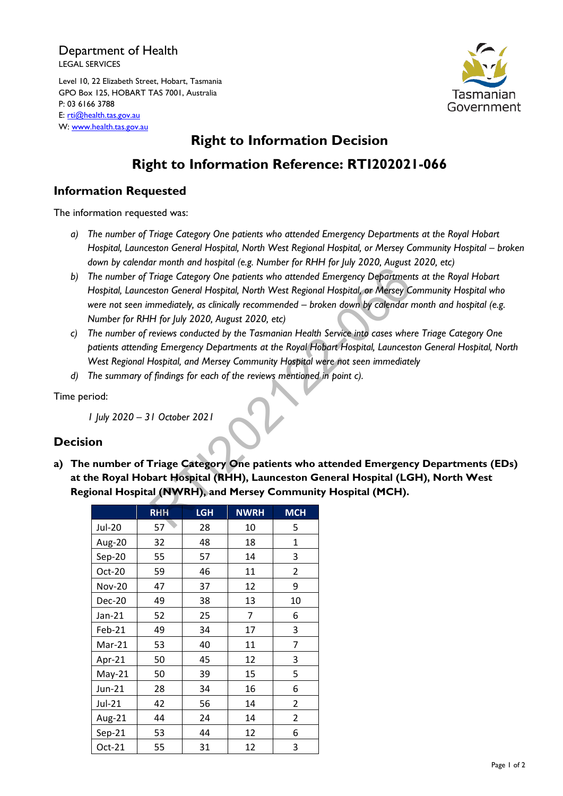#### Department of Health LEGAL SERVICES

Level 10, 22 Elizabeth Street, Hobart, Tasmania GPO Box 125, HOBART TAS 7001, Australia P: 03 6166 3788 E: [rti@health.tas.gov.au](mailto:rti@health.tas.gov.au) W: [www.health.tas.gov.au](http://www.health.tas.gov.au/)



# **Right to Information Decision Right to Information Reference: RTI202021-066**

## **Information Requested**

The information requested was:

- *a) The number of Triage Category One patients who attended Emergency Departments at the Royal Hobart Hospital, Launceston General Hospital, North West Regional Hospital, or Mersey Community Hospital – broken down by calendar month and hospital (e.g. Number for RHH for July 2020, August 2020, etc)*
- *b) The number of Triage Category One patients who attended Emergency Departments at the Royal Hobart Hospital, Launceston General Hospital, North West Regional Hospital, or Mersey Community Hospital who were not seen immediately, as clinically recommended – broken down by calendar month and hospital (e.g. Number for RHH for July 2020, August 2020, etc)* Triage Category One patients who attended Emergency Department<br>
Triage Category One patients who attended Emergency Departments<br>
eston General Hospital, North West Regional Hospital, or Mersey C<br>
memediately, as clinically
- *c) The number of reviews conducted by the Tasmanian Health Service into cases where Triage Category One patients attending Emergency Departments at the Royal Hobart Hospital, Launceston General Hospital, North West Regional Hospital, and Mersey Community Hospital were not seen immediately*
- *d) The summary of findings for each of the reviews mentioned in point c).*

Time period:

*1 July 2020 – 31 October 2021*

### **Decision**

**a) The number of Triage Category One patients who attended Emergency Departments (EDs) at the Royal Hobart Hospital (RHH), Launceston General Hospital (LGH), North West Regional Hospital (NWRH), and Mersey Community Hospital (MCH).**

|               | RHH | <b>LGH</b> | <b>NWRH</b> | <b>MCH</b>     |
|---------------|-----|------------|-------------|----------------|
| <b>Jul-20</b> | 57  | 28         | 10          | 5              |
| Aug-20        | 32  | 48         | 18          | 1              |
| Sep-20        | 55  | 57         | 14          | 3              |
| Oct-20        | 59  | 46         | 11          | $\overline{2}$ |
| <b>Nov-20</b> | 47  | 37         | 12          | 9              |
| <b>Dec-20</b> | 49  | 38         | 13          | 10             |
| $Jan-21$      | 52  | 25         | 7           | 6              |
| Feb-21        | 49  | 34         | 17          | 3              |
| $Mar-21$      | 53  | 40         | 11          | 7              |
| Apr-21        | 50  | 45         | 12          | 3              |
| $May-21$      | 50  | 39         | 15          | 5              |
| Jun-21        | 28  | 34         | 16          | 6              |
| Jul-21        | 42  | 56         | 14          | 2              |
| Aug-21        | 44  | 24         | 14          | 2              |
| $Sep-21$      | 53  | 44         | 12          | 6              |
| Oct-21        | 55  | 31         | 12          | 3              |